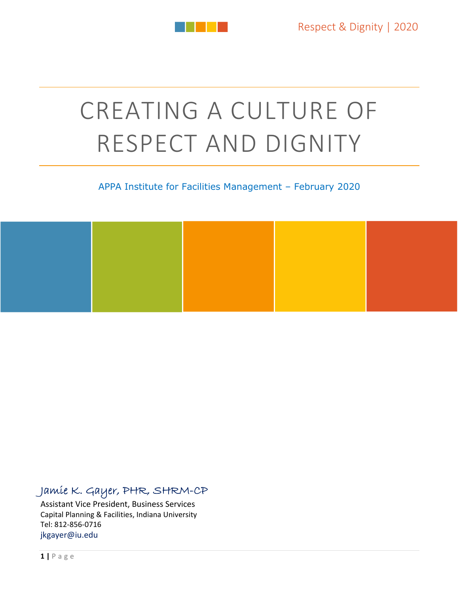

# CREATING A CULTURE OF RESPECT AND DIGNITY

#### APPA Institute for Facilities Management – February 2020



### Jamie K. Gayer, PHR, SHRM-CP

Assistant Vice President, Business Services Capital Planning & Facilities, Indiana University Tel: 812‐856‐0716 jkgayer@iu.edu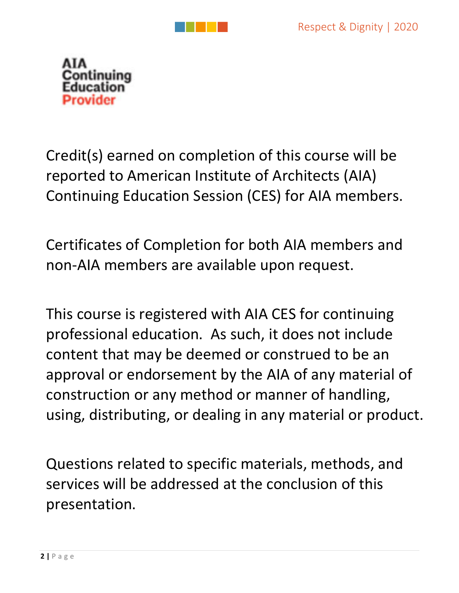



Credit(s) earned on completion of this course will be reported to American Institute of Architects (AIA) Continuing Education Session (CES) for AIA members.

Certificates of Completion for both AIA members and non‐AIA members are available upon request.

This course is registered with AIA CES for continuing professional education. As such, it does not include content that may be deemed or construed to be an approval or endorsement by the AIA of any material of construction or any method or manner of handling, using, distributing, or dealing in any material or product.

Questions related to specific materials, methods, and services will be addressed at the conclusion of this presentation.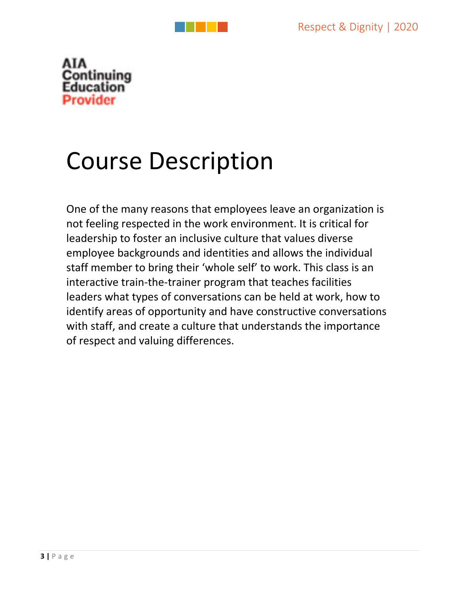

# Course Description

One of the many reasons that employees leave an organization is not feeling respected in the work environment. It is critical for leadership to foster an inclusive culture that values diverse employee backgrounds and identities and allows the individual staff member to bring their 'whole self' to work. This class is an interactive train‐the‐trainer program that teaches facilities leaders what types of conversations can be held at work, how to identify areas of opportunity and have constructive conversations with staff, and create a culture that understands the importance of respect and valuing differences.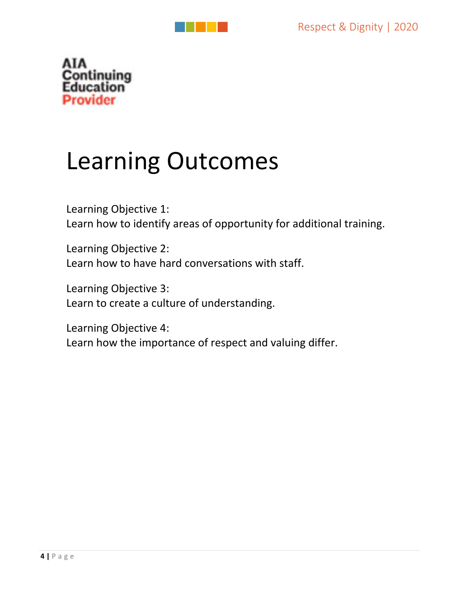

# Learning Outcomes

Learning Objective 1: Learn how to identify areas of opportunity for additional training.

Learning Objective 2: Learn how to have hard conversations with staff.

Learning Objective 3: Learn to create a culture of understanding.

Learning Objective 4: Learn how the importance of respect and valuing differ.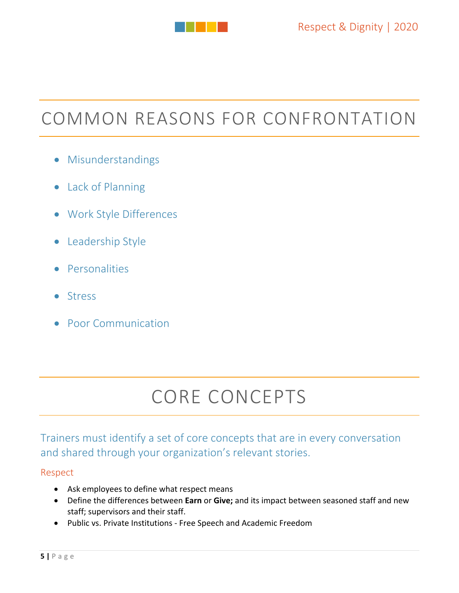

## COMMON REASONS FOR CONFRONTATION

- Misunderstandings
- Lack of Planning
- Work Style Differences
- Leadership Style
- **•** Personalities
- **•** Stress
- Poor Communication

## CORE CONCEPTS

### Trainers must identify a set of core concepts that are in every conversation and shared through your organization's relevant stories.

#### Respect

- Ask employees to define what respect means
- Define the differences between **Earn** or **Give;** and its impact between seasoned staff and new staff; supervisors and their staff.
- Public vs. Private Institutions Free Speech and Academic Freedom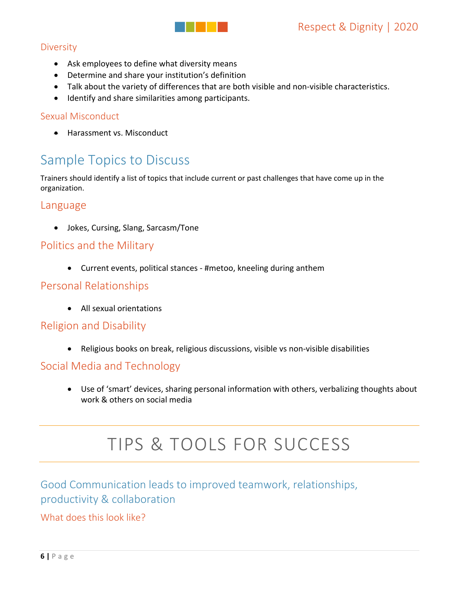

#### **Diversity**

- Ask employees to define what diversity means
- Determine and share your institution's definition
- Talk about the variety of differences that are both visible and non-visible characteristics.
- $\bullet$  Identify and share similarities among participants.

#### Sexual Misconduct

**•** Harassment vs. Misconduct

## Sample Topics to Discuss

Trainers should identify a list of topics that include current or past challenges that have come up in the organization.

#### Language

Jokes, Cursing, Slang, Sarcasm/Tone

#### Politics and the Military

● Current events, political stances - #metoo, kneeling during anthem

#### Personal Relationships

All sexual orientations

#### Religion and Disability

● Religious books on break, religious discussions, visible vs non-visible disabilities

#### Social Media and Technology

 Use of 'smart' devices, sharing personal information with others, verbalizing thoughts about work & others on social media

## TIPS & TOOLS FOR SUCCESS

### Good Communication leads to improved teamwork, relationships, productivity & collaboration

What does this look like?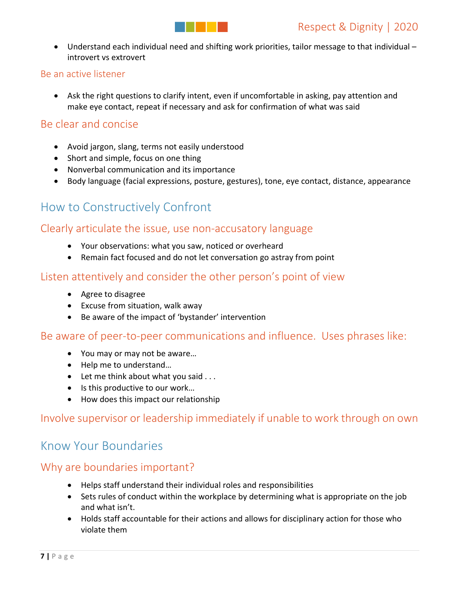Understand each individual need and shifting work priorities, tailor message to that individual – introvert vs extrovert

#### Be an active listener

 Ask the right questions to clarify intent, even if uncomfortable in asking, pay attention and make eye contact, repeat if necessary and ask for confirmation of what was said

#### Be clear and concise

- Avoid jargon, slang, terms not easily understood
- Short and simple, focus on one thing
- Nonverbal communication and its importance
- Body language (facial expressions, posture, gestures), tone, eye contact, distance, appearance

### How to Constructively Confront

#### Clearly articulate the issue, use non‐accusatory language

- Your observations: what you saw, noticed or overheard
- Remain fact focused and do not let conversation go astray from point

#### Listen attentively and consider the other person's point of view

- Agree to disagree
- Excuse from situation, walk away
- Be aware of the impact of 'bystander' intervention

Be aware of peer-to-peer communications and influence. Uses phrases like:

- You may or may not be aware…
- Help me to understand...
- $\bullet$  Let me think about what you said ...
- Is this productive to our work...
- How does this impact our relationship

#### Involve supervisor or leadership immediately if unable to work through on own

### Know Your Boundaries

#### Why are boundaries important?

- Helps staff understand their individual roles and responsibilities
- Sets rules of conduct within the workplace by determining what is appropriate on the job and what isn't.
- Holds staff accountable for their actions and allows for disciplinary action for those who violate them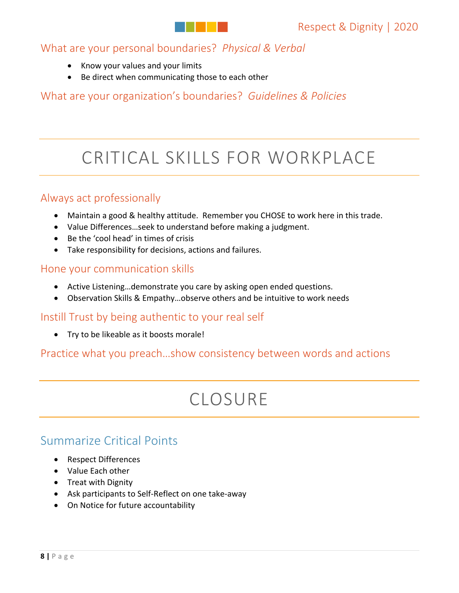What are your personal boundaries? *Physical & Verbal*

- Know your values and your limits
- Be direct when communicating those to each other

What are your organization's boundaries? *Guidelines & Policies*

## CRITICAL SKILLS FOR WORKPLACE

#### Always act professionally

- Maintain a good & healthy attitude. Remember you CHOSE to work here in this trade.
- Value Differences…seek to understand before making a judgment.
- Be the 'cool head' in times of crisis
- Take responsibility for decisions, actions and failures.

#### Hone your communication skills

- Active Listening…demonstrate you care by asking open ended questions.
- Observation Skills & Empathy…observe others and be intuitive to work needs

#### Instill Trust by being authentic to your real self

• Try to be likeable as it boosts morale!

#### Practice what you preach…show consistency between words and actions

## CLOSURE

### Summarize Critical Points

- Respect Differences
- Value Each other
- Treat with Dignity
- Ask participants to Self-Reflect on one take-away
- On Notice for future accountability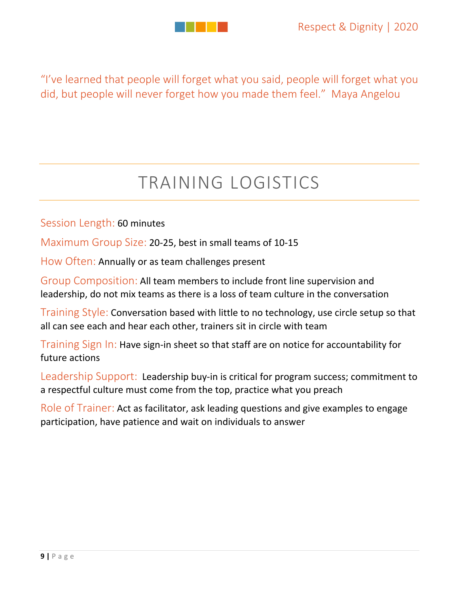

"I've learned that people will forget what you said, people will forget what you did, but people will never forget how you made them feel." Maya Angelou

## TRAINING LOGISTICS

Session Length: 60 minutes

Maximum Group Size: 20‐25, best in small teams of 10‐15

How Often: Annually or as team challenges present

Group Composition: All team members to include front line supervision and leadership, do not mix teams as there is a loss of team culture in the conversation

Training Style: Conversation based with little to no technology, use circle setup so that all can see each and hear each other, trainers sit in circle with team

Training Sign In: Have sign-in sheet so that staff are on notice for accountability for future actions

Leadership Support: Leadership buy-in is critical for program success; commitment to a respectful culture must come from the top, practice what you preach

Role of Trainer: Act as facilitator, ask leading questions and give examples to engage participation, have patience and wait on individuals to answer